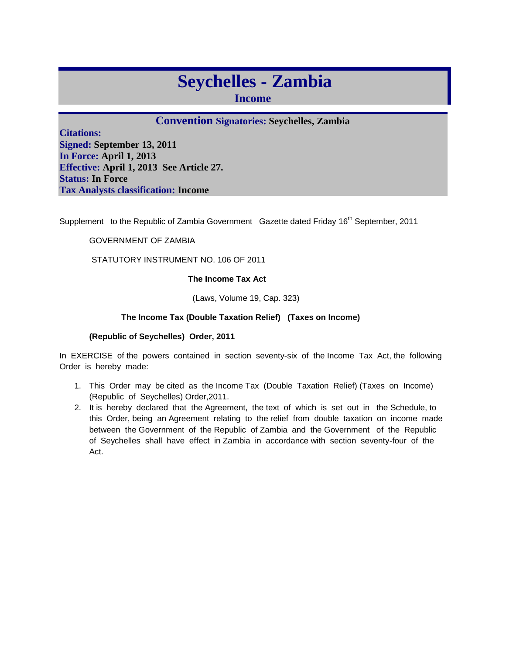# **Seychelles - Zambia**

**Income**

# **Convention Signatories: Seychelles, Zambia**

**Citations: Signed: September 13, 2011 In Force: April 1, 2013 Effective: April 1, 2013 See Article 27. Status: In Force Tax Analysts classification: Income**

Supplement to the Republic of Zambia Government Gazette dated Friday 16<sup>th</sup> September, 2011

# GOVERNMENT OF ZAMBIA

STATUTORY INSTRUMENT NO. 106 OF 2011

# **The Income Tax Act**

(Laws, Volume 19, Cap. 323)

# **The Income Tax (Double Taxation Relief) (Taxes on Income)**

## **(Republic of Seychelles) Order, 2011**

In EXERCISE of the powers contained in section seventy-six of the Income Tax Act, the following Order is hereby made:

- 1. This Order may be cited as the Income Tax (Double Taxation Relief) (Taxes on Income) (Republic of Seychelles) Order,2011.
- 2. It is hereby declared that the Agreement, the text of which is set out in the Schedule, to this Order, being an Agreement relating to the relief from double taxation on income made between the Government of the Republic of Zambia and the Government of the Republic of Seychelles shall have effect in Zambia in accordance with section seventy-four of the Act.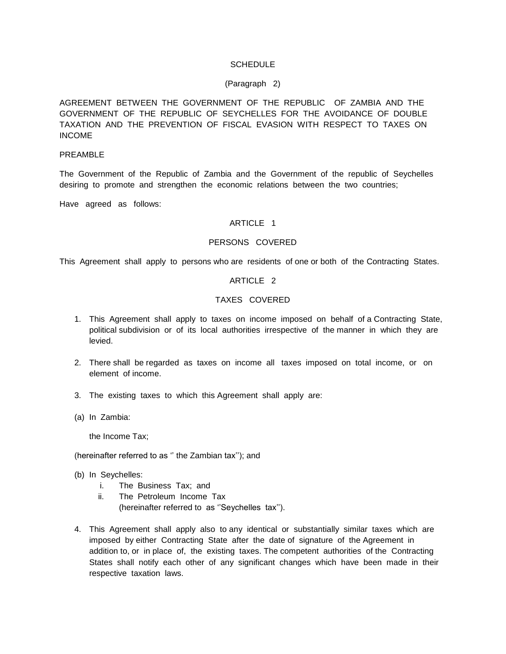## **SCHEDULE**

## (Paragraph 2)

AGREEMENT BETWEEN THE GOVERNMENT OF THE REPUBLIC OF ZAMBIA AND THE GOVERNMENT OF THE REPUBLIC OF SEYCHELLES FOR THE AVOIDANCE OF DOUBLE TAXATION AND THE PREVENTION OF FISCAL EVASION WITH RESPECT TO TAXES ON INCOME

#### PREAMBLE

The Government of the Republic of Zambia and the Government of the republic of Seychelles desiring to promote and strengthen the economic relations between the two countries;

Have agreed as follows:

# ARTICLE 1

#### PERSONS COVERED

This Agreement shall apply to persons who are residents of one or both of the Contracting States.

#### ARTICLE 2

#### TAXES COVERED

- 1. This Agreement shall apply to taxes on income imposed on behalf of a Contracting State, political subdivision or of its local authorities irrespective of the manner in which they are levied.
- 2. There shall be regarded as taxes on income all taxes imposed on total income, or on element of income.
- 3. The existing taxes to which this Agreement shall apply are:
- (a) In Zambia:

the Income Tax;

(hereinafter referred to as '' the Zambian tax''); and

- (b) In Seychelles:
	- i. The Business Tax; and
	- ii. The Petroleum Income Tax (hereinafter referred to as ''Seychelles tax'').
- 4. This Agreement shall apply also to any identical or substantially similar taxes which are imposed by either Contracting State after the date of signature of the Agreement in addition to, or in place of, the existing taxes. The competent authorities of the Contracting States shall notify each other of any significant changes which have been made in their respective taxation laws.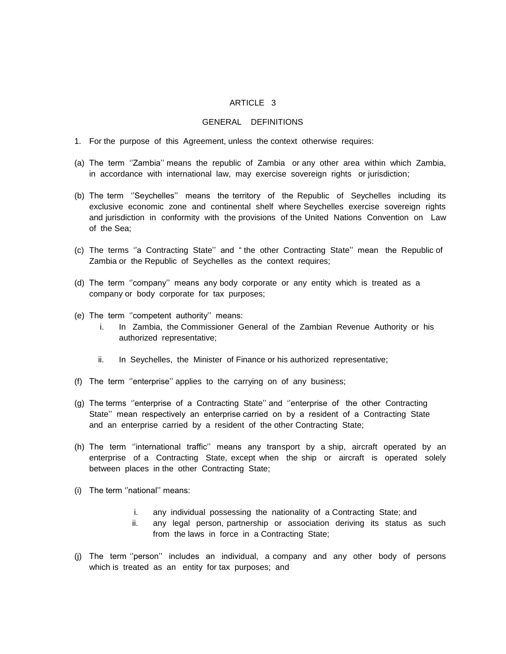#### GENERAL DEFINITIONS

- 1. For the purpose of this Agreement, unless the context otherwise requires:
- (a) The term ''Zambia'' means the republic of Zambia or any other area within which Zambia, in accordance with international law, may exercise sovereign rights or jurisdiction;
- (b) The term ''Seychelles'' means the territory of the Republic of Seychelles including its exclusive economic zone and continental shelf where Seychelles exercise sovereign rights and jurisdiction in conformity with the provisions of the United Nations Convention on Law of the Sea;
- (c) The terms ''a Contracting State'' and " the other Contracting State'' mean the Republic of Zambia or the Republic of Seychelles as the context requires;
- (d) The term ''company'' means any body corporate or any entity which is treated as a company or body corporate for tax purposes;
- (e) The term ''competent authority'' means:
	- i. In Zambia, the Commissioner General of the Zambian Revenue Authority or his authorized representative;
	- ii. In Seychelles, the Minister of Finance or his authorized representative;
- (f) The term ''enterprise'' applies to the carrying on of any business;
- (g) The terms ''enterprise of a Contracting State'' and ''enterprise of the other Contracting State'' mean respectively an enterprise carried on by a resident of a Contracting State and an enterprise carried by a resident of the other Contracting State;
- (h) The term ''international traffic'' means any transport by a ship, aircraft operated by an enterprise of a Contracting State, except when the ship or aircraft is operated solely between places in the other Contracting State;
- (i) The term "national" means:
	- i. any individual possessing the nationality of a Contracting State; and
	- ii. any legal person, partnership or association deriving its status as such from the laws in force in a Contracting State;
- (j) The term "person" includes an individual, a company and any other body of persons which is treated as an entity for tax purposes; and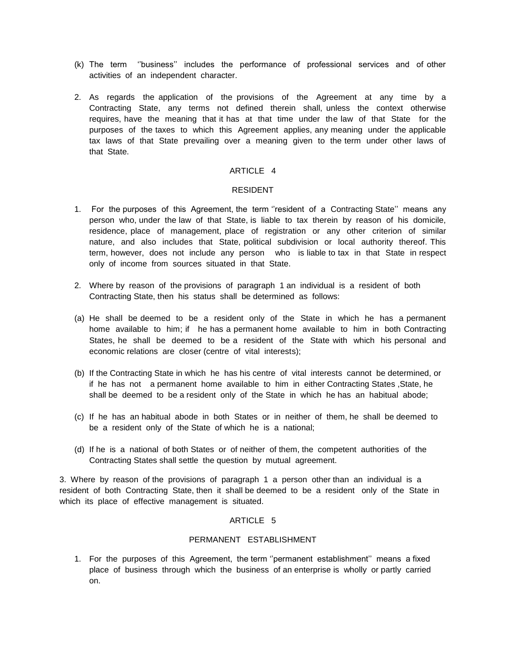- (k) The term ''business'' includes the performance of professional services and of other activities of an independent character.
- 2. As regards the application of the provisions of the Agreement at any time by a Contracting State, any terms not defined therein shall, unless the context otherwise requires, have the meaning that it has at that time under the law of that State for the purposes of the taxes to which this Agreement applies, any meaning under the applicable tax laws of that State prevailing over a meaning given to the term under other laws of that State.

## RESIDENT

- 1. For the purposes of this Agreement, the term ''resident of a Contracting State'' means any person who, under the law of that State, is liable to tax therein by reason of his domicile, residence, place of management, place of registration or any other criterion of similar nature, and also includes that State, political subdivision or local authority thereof. This term, however, does not include any person who is liable to tax in that State in respect only of income from sources situated in that State.
- 2. Where by reason of the provisions of paragraph 1 an individual is a resident of both Contracting State, then his status shall be determined as follows:
- (a) He shall be deemed to be a resident only of the State in which he has a permanent home available to him; if he has a permanent home available to him in both Contracting States, he shall be deemed to be a resident of the State with which his personal and economic relations are closer (centre of vital interests);
- (b) If the Contracting State in which he has his centre of vital interests cannot be determined, or if he has not a permanent home available to him in either Contracting States ,State, he shall be deemed to be a resident only of the State in which he has an habitual abode;
- (c) If he has an habitual abode in both States or in neither of them, he shall be deemed to be a resident only of the State of which he is a national;
- (d) If he is a national of both States or of neither of them, the competent authorities of the Contracting States shall settle the question by mutual agreement.

3. Where by reason of the provisions of paragraph 1 a person other than an individual is a resident of both Contracting State, then it shall be deemed to be a resident only of the State in which its place of effective management is situated.

## ARTICLE 5

## PERMANENT ESTABLISHMENT

1. For the purposes of this Agreement, the term ''permanent establishment'' means a fixed place of business through which the business of an enterprise is wholly or partly carried on.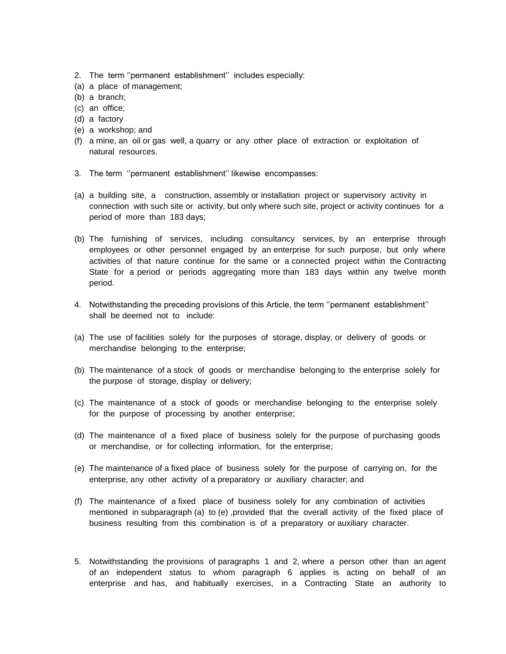- 2. The term ''permanent establishment'' includes especially:
- (a) a place of management;
- (b) a branch;
- (c) an office;
- (d) a factory
- (e) a workshop; and
- (f) a mine, an oil or gas well, a quarry or any other place of extraction or exploitation of natural resources.
- 3. The term ''permanent establishment'' likewise encompasses:
- (a) a building site, a construction, assembly or installation project or supervisory activity in connection with such site or activity, but only where such site, project or activity continues for a period of more than 183 days;
- (b) The furnishing of services, including consultancy services, by an enterprise through employees or other personnel engaged by an enterprise for such purpose, but only where activities of that nature continue for the same or a connected project within the Contracting State for a period or periods aggregating more than 183 days within any twelve month period.
- 4. Notwithstanding the preceding provisions of this Article, the term ''permanent establishment'' shall be deemed not to include:
- (a) The use of facilities solely for the purposes of storage, display, or delivery of goods or merchandise belonging to the enterprise;
- (b) The maintenance of a stock of goods or merchandise belonging to the enterprise solely for the purpose of storage, display or delivery;
- (c) The maintenance of a stock of goods or merchandise belonging to the enterprise solely for the purpose of processing by another enterprise;
- (d) The maintenance of a fixed place of business solely for the purpose of purchasing goods or merchandise, or for collecting information, for the enterprise;
- (e) The maintenance of a fixed place of business solely for the purpose of carrying on, for the enterprise, any other activity of a preparatory or auxiliary character; and
- (f) The maintenance of a fixed place of business solely for any combination of activities mentioned in subparagraph (a) to (e) ,provided that the overall activity of the fixed place of business resulting from this combination is of a preparatory or auxiliary character.
- 5. Notwithstanding the provisions of paragraphs 1 and 2, where a person other than an agent of an independent status to whom paragraph 6 applies is acting on behalf of an enterprise and has, and habitually exercises, in a Contracting State an authority to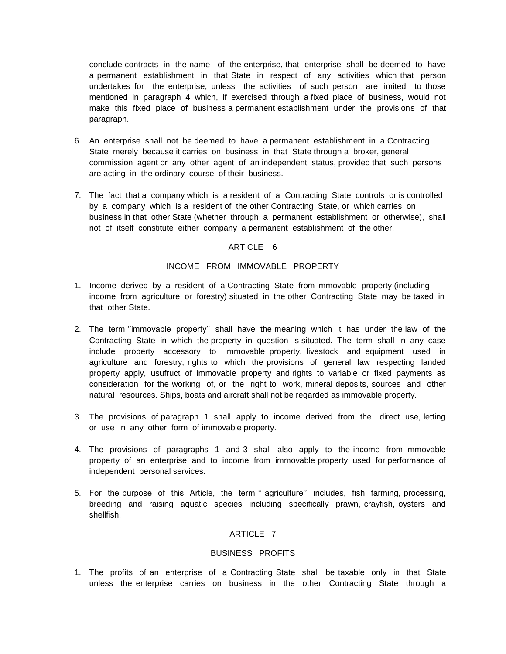conclude contracts in the name of the enterprise, that enterprise shall be deemed to have a permanent establishment in that State in respect of any activities which that person undertakes for the enterprise, unless the activities of such person are limited to those mentioned in paragraph 4 which, if exercised through a fixed place of business, would not make this fixed place of business a permanent establishment under the provisions of that paragraph.

- 6. An enterprise shall not be deemed to have a permanent establishment in a Contracting State merely because it carries on business in that State through a broker, general commission agent or any other agent of an independent status, provided that such persons are acting in the ordinary course of their business.
- 7. The fact that a company which is a resident of a Contracting State controls or is controlled by a company which is a resident of the other Contracting State, or which carries on business in that other State (whether through a permanent establishment or otherwise), shall not of itself constitute either company a permanent establishment of the other.

# ARTICLE 6

## INCOME FROM IMMOVABLE PROPERTY

- 1. Income derived by a resident of a Contracting State from immovable property (including income from agriculture or forestry) situated in the other Contracting State may be taxed in that other State.
- 2. The term ''immovable property'' shall have the meaning which it has under the law of the Contracting State in which the property in question is situated. The term shall in any case include property accessory to immovable property, livestock and equipment used in agriculture and forestry, rights to which the provisions of general law respecting landed property apply, usufruct of immovable property and rights to variable or fixed payments as consideration for the working of, or the right to work, mineral deposits, sources and other natural resources. Ships, boats and aircraft shall not be regarded as immovable property.
- 3. The provisions of paragraph 1 shall apply to income derived from the direct use, letting or use in any other form of immovable property.
- 4. The provisions of paragraphs 1 and 3 shall also apply to the income from immovable property of an enterprise and to income from immovable property used for performance of independent personal services.
- 5. For the purpose of this Article, the term "agriculture" includes, fish farming, processing, breeding and raising aquatic species including specifically prawn, crayfish, oysters and shellfish.

## ARTICLE 7

## BUSINESS PROFITS

1. The profits of an enterprise of a Contracting State shall be taxable only in that State unless the enterprise carries on business in the other Contracting State through a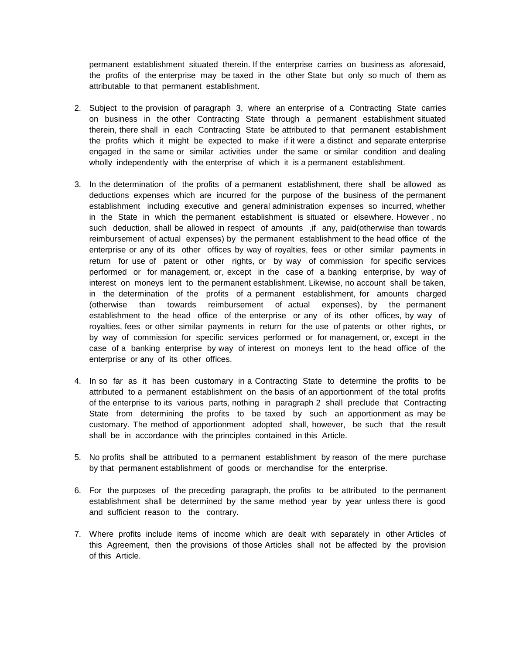permanent establishment situated therein. If the enterprise carries on business as aforesaid, the profits of the enterprise may be taxed in the other State but only so much of them as attributable to that permanent establishment.

- 2. Subject to the provision of paragraph 3, where an enterprise of a Contracting State carries on business in the other Contracting State through a permanent establishment situated therein, there shall in each Contracting State be attributed to that permanent establishment the profits which it might be expected to make if it were a distinct and separate enterprise engaged in the same or similar activities under the same or similar condition and dealing wholly independently with the enterprise of which it is a permanent establishment.
- 3. In the determination of the profits of a permanent establishment, there shall be allowed as deductions expenses which are incurred for the purpose of the business of the permanent establishment including executive and general administration expenses so incurred, whether in the State in which the permanent establishment is situated or elsewhere. However , no such deduction, shall be allowed in respect of amounts ,if any, paid(otherwise than towards reimbursement of actual expenses) by the permanent establishment to the head office of the enterprise or any of its other offices by way of royalties, fees or other similar payments in return for use of patent or other rights, or by way of commission for specific services performed or for management, or, except in the case of a banking enterprise, by way of interest on moneys lent to the permanent establishment. Likewise, no account shall be taken, in the determination of the profits of a permanent establishment, for amounts charged (otherwise than towards reimbursement of actual expenses), by the permanent establishment to the head office of the enterprise or any of its other offices, by way of royalties, fees or other similar payments in return for the use of patents or other rights, or by way of commission for specific services performed or for management, or, except in the case of a banking enterprise by way of interest on moneys lent to the head office of the enterprise or any of its other offices.
- 4. In so far as it has been customary in a Contracting State to determine the profits to be attributed to a permanent establishment on the basis of an apportionment of the total profits of the enterprise to its various parts, nothing in paragraph 2 shall preclude that Contracting State from determining the profits to be taxed by such an apportionment as may be customary. The method of apportionment adopted shall, however, be such that the result shall be in accordance with the principles contained in this Article.
- 5. No profits shall be attributed to a permanent establishment by reason of the mere purchase by that permanent establishment of goods or merchandise for the enterprise.
- 6. For the purposes of the preceding paragraph, the profits to be attributed to the permanent establishment shall be determined by the same method year by year unless there is good and sufficient reason to the contrary.
- 7. Where profits include items of income which are dealt with separately in other Articles of this Agreement, then the provisions of those Articles shall not be affected by the provision of this Article.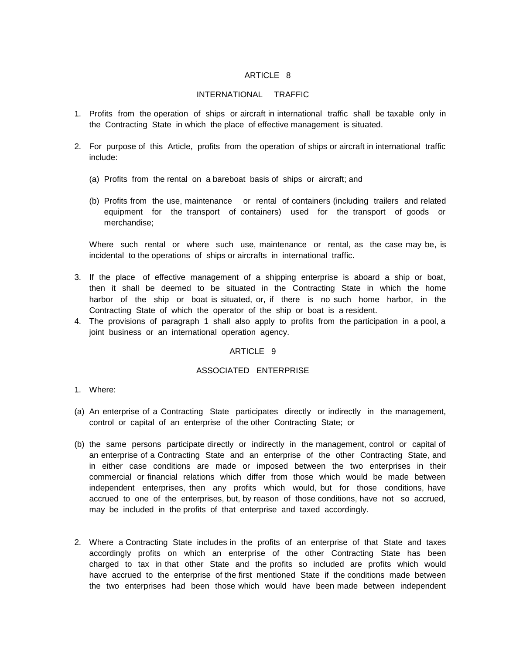## INTERNATIONAL TRAFFIC

- 1. Profits from the operation of ships or aircraft in international traffic shall be taxable only in the Contracting State in which the place of effective management is situated.
- 2. For purpose of this Article, profits from the operation of ships or aircraft in international traffic include:
	- (a) Profits from the rental on a bareboat basis of ships or aircraft; and
	- (b) Profits from the use, maintenance or rental of containers (including trailers and related equipment for the transport of containers) used for the transport of goods or merchandise;

Where such rental or where such use, maintenance or rental, as the case may be, is incidental to the operations of ships or aircrafts in international traffic.

- 3. If the place of effective management of a shipping enterprise is aboard a ship or boat, then it shall be deemed to be situated in the Contracting State in which the home harbor of the ship or boat is situated, or, if there is no such home harbor, in the Contracting State of which the operator of the ship or boat is a resident.
- 4. The provisions of paragraph 1 shall also apply to profits from the participation in a pool, a joint business or an international operation agency.

## ARTICLE 9

# ASSOCIATED ENTERPRISE

- 1. Where:
- (a) An enterprise of a Contracting State participates directly or indirectly in the management, control or capital of an enterprise of the other Contracting State; or
- (b) the same persons participate directly or indirectly in the management, control or capital of an enterprise of a Contracting State and an enterprise of the other Contracting State, and in either case conditions are made or imposed between the two enterprises in their commercial or financial relations which differ from those which would be made between independent enterprises, then any profits which would, but for those conditions, have accrued to one of the enterprises, but, by reason of those conditions, have not so accrued, may be included in the profits of that enterprise and taxed accordingly.
- 2. Where a Contracting State includes in the profits of an enterprise of that State and taxes accordingly profits on which an enterprise of the other Contracting State has been charged to tax in that other State and the profits so included are profits which would have accrued to the enterprise of the first mentioned State if the conditions made between the two enterprises had been those which would have been made between independent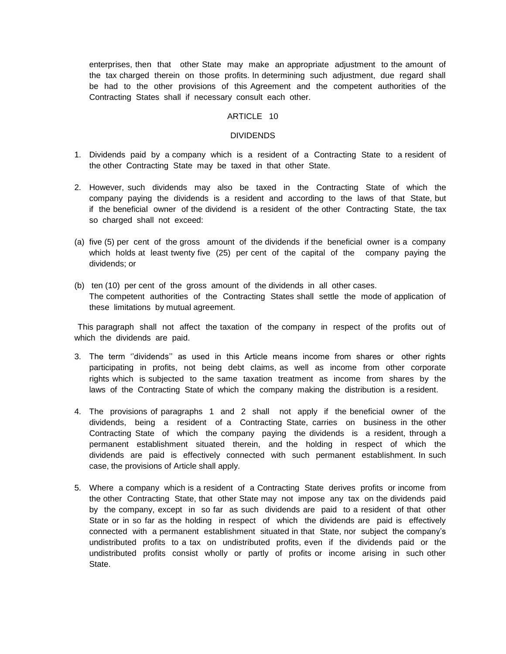enterprises, then that other State may make an appropriate adjustment to the amount of the tax charged therein on those profits. In determining such adjustment, due regard shall be had to the other provisions of this Agreement and the competent authorities of the Contracting States shall if necessary consult each other.

## ARTICLE 10

## DIVIDENDS

- 1. Dividends paid by a company which is a resident of a Contracting State to a resident of the other Contracting State may be taxed in that other State.
- 2. However, such dividends may also be taxed in the Contracting State of which the company paying the dividends is a resident and according to the laws of that State, but if the beneficial owner of the dividend is a resident of the other Contracting State, the tax so charged shall not exceed:
- (a) five (5) per cent of the gross amount of the dividends if the beneficial owner is a company which holds at least twenty five (25) per cent of the capital of the company paying the dividends; or
- (b) ten (10) per cent of the gross amount of the dividends in all other cases. The competent authorities of the Contracting States shall settle the mode of application of these limitations by mutual agreement.

 This paragraph shall not affect the taxation of the company in respect of the profits out of which the dividends are paid.

- 3. The term ''dividends'' as used in this Article means income from shares or other rights participating in profits, not being debt claims, as well as income from other corporate rights which is subjected to the same taxation treatment as income from shares by the laws of the Contracting State of which the company making the distribution is a resident.
- 4. The provisions of paragraphs 1 and 2 shall not apply if the beneficial owner of the dividends, being a resident of a Contracting State, carries on business in the other Contracting State of which the company paying the dividends is a resident, through a permanent establishment situated therein, and the holding in respect of which the dividends are paid is effectively connected with such permanent establishment. In such case, the provisions of Article shall apply.
- 5. Where a company which is a resident of a Contracting State derives profits or income from the other Contracting State, that other State may not impose any tax on the dividends paid by the company, except in so far as such dividends are paid to a resident of that other State or in so far as the holding in respect of which the dividends are paid is effectively connected with a permanent establishment situated in that State, nor subject the company's undistributed profits to a tax on undistributed profits, even if the dividends paid or the undistributed profits consist wholly or partly of profits or income arising in such other State.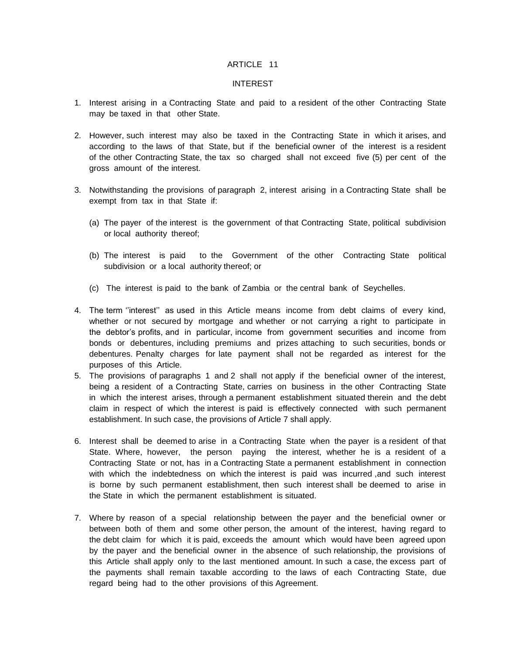#### INTEREST

- 1. Interest arising in a Contracting State and paid to a resident of the other Contracting State may be taxed in that other State.
- 2. However, such interest may also be taxed in the Contracting State in which it arises, and according to the laws of that State, but if the beneficial owner of the interest is a resident of the other Contracting State, the tax so charged shall not exceed five (5) per cent of the gross amount of the interest.
- 3. Notwithstanding the provisions of paragraph 2, interest arising in a Contracting State shall be exempt from tax in that State if:
	- (a) The payer of the interest is the government of that Contracting State, political subdivision or local authority thereof;
	- (b) The interest is paid to the Government of the other Contracting State political subdivision or a local authority thereof; or
	- (c) The interest is paid to the bank of Zambia or the central bank of Seychelles.
- 4. The term ''interest'' as used in this Article means income from debt claims of every kind, whether or not secured by mortgage and whether or not carrying a right to participate in the debtor's profits, and in particular, income from government securities and income from bonds or debentures, including premiums and prizes attaching to such securities, bonds or debentures. Penalty charges for late payment shall not be regarded as interest for the purposes of this Article.
- 5. The provisions of paragraphs 1 and 2 shall not apply if the beneficial owner of the interest, being a resident of a Contracting State, carries on business in the other Contracting State in which the interest arises, through a permanent establishment situated therein and the debt claim in respect of which the interest is paid is effectively connected with such permanent establishment. In such case, the provisions of Article 7 shall apply.
- 6. Interest shall be deemed to arise in a Contracting State when the payer is a resident of that State. Where, however, the person paying the interest, whether he is a resident of a Contracting State or not, has in a Contracting State a permanent establishment in connection with which the indebtedness on which the interest is paid was incurred ,and such interest is borne by such permanent establishment, then such interest shall be deemed to arise in the State in which the permanent establishment is situated.
- 7. Where by reason of a special relationship between the payer and the beneficial owner or between both of them and some other person, the amount of the interest, having regard to the debt claim for which it is paid, exceeds the amount which would have been agreed upon by the payer and the beneficial owner in the absence of such relationship, the provisions of this Article shall apply only to the last mentioned amount. In such a case, the excess part of the payments shall remain taxable according to the laws of each Contracting State, due regard being had to the other provisions of this Agreement.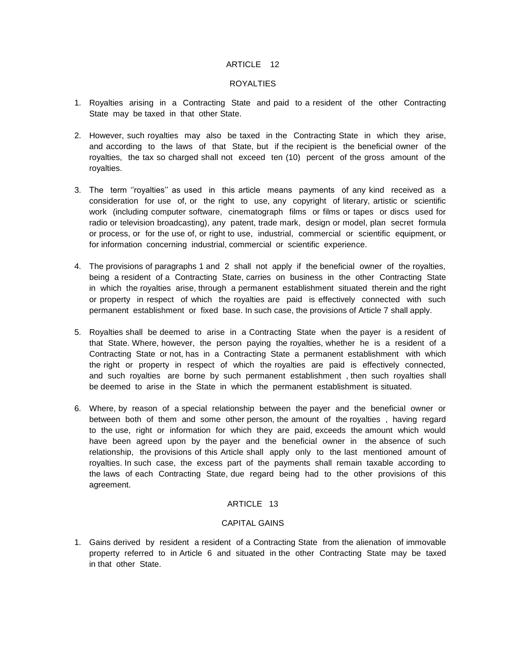#### ROYALTIES

- 1. Royalties arising in a Contracting State and paid to a resident of the other Contracting State may be taxed in that other State.
- 2. However, such royalties may also be taxed in the Contracting State in which they arise, and according to the laws of that State, but if the recipient is the beneficial owner of the royalties, the tax so charged shall not exceed ten (10) percent of the gross amount of the royalties.
- 3. The term ''royalties'' as used in this article means payments of any kind received as a consideration for use of, or the right to use, any copyright of literary, artistic or scientific work (including computer software, cinematograph films or films or tapes or discs used for radio or television broadcasting), any patent, trade mark, design or model, plan secret formula or process, or for the use of, or right to use, industrial, commercial or scientific equipment, or for information concerning industrial, commercial or scientific experience.
- 4. The provisions of paragraphs 1 and 2 shall not apply if the beneficial owner of the royalties, being a resident of a Contracting State, carries on business in the other Contracting State in which the royalties arise, through a permanent establishment situated therein and the right or property in respect of which the royalties are paid is effectively connected with such permanent establishment or fixed base. In such case, the provisions of Article 7 shall apply.
- 5. Royalties shall be deemed to arise in a Contracting State when the payer is a resident of that State. Where, however, the person paying the royalties, whether he is a resident of a Contracting State or not, has in a Contracting State a permanent establishment with which the right or property in respect of which the royalties are paid is effectively connected, and such royalties are borne by such permanent establishment , then such royalties shall be deemed to arise in the State in which the permanent establishment is situated.
- 6. Where, by reason of a special relationship between the payer and the beneficial owner or between both of them and some other person, the amount of the royalties , having regard to the use, right or information for which they are paid, exceeds the amount which would have been agreed upon by the payer and the beneficial owner in the absence of such relationship, the provisions of this Article shall apply only to the last mentioned amount of royalties. In such case, the excess part of the payments shall remain taxable according to the laws of each Contracting State, due regard being had to the other provisions of this agreement.

# ARTICLE 13

#### CAPITAL GAINS

1. Gains derived by resident a resident of a Contracting State from the alienation of immovable property referred to in Article 6 and situated in the other Contracting State may be taxed in that other State.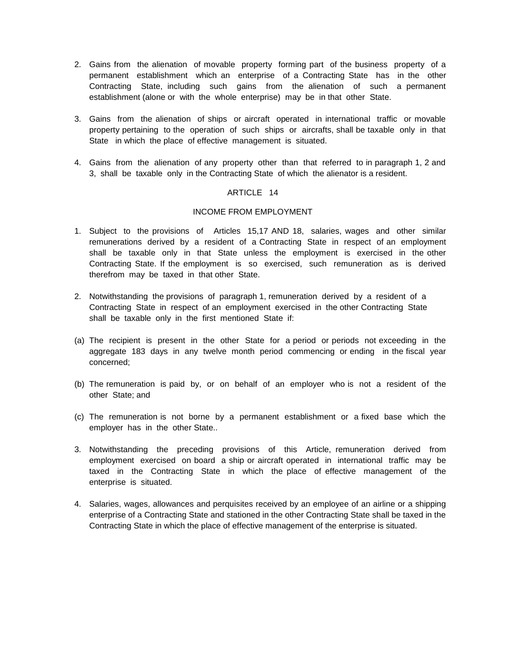- 2. Gains from the alienation of movable property forming part of the business property of a permanent establishment which an enterprise of a Contracting State has in the other Contracting State, including such gains from the alienation of such a permanent establishment (alone or with the whole enterprise) may be in that other State.
- 3. Gains from the alienation of ships or aircraft operated in international traffic or movable property pertaining to the operation of such ships or aircrafts, shall be taxable only in that State in which the place of effective management is situated.
- 4. Gains from the alienation of any property other than that referred to in paragraph 1, 2 and 3, shall be taxable only in the Contracting State of which the alienator is a resident.

#### INCOME FROM EMPLOYMENT

- 1. Subject to the provisions of Articles 15,17 AND 18, salaries, wages and other similar remunerations derived by a resident of a Contracting State in respect of an employment shall be taxable only in that State unless the employment is exercised in the other Contracting State. If the employment is so exercised, such remuneration as is derived therefrom may be taxed in that other State.
- 2. Notwithstanding the provisions of paragraph 1, remuneration derived by a resident of a Contracting State in respect of an employment exercised in the other Contracting State shall be taxable only in the first mentioned State if:
- (a) The recipient is present in the other State for a period or periods not exceeding in the aggregate 183 days in any twelve month period commencing or ending in the fiscal year concerned;
- (b) The remuneration is paid by, or on behalf of an employer who is not a resident of the other State; and
- (c) The remuneration is not borne by a permanent establishment or a fixed base which the employer has in the other State..
- 3. Notwithstanding the preceding provisions of this Article, remuneration derived from employment exercised on board a ship or aircraft operated in international traffic may be taxed in the Contracting State in which the place of effective management of the enterprise is situated.
- 4. Salaries, wages, allowances and perquisites received by an employee of an airline or a shipping enterprise of a Contracting State and stationed in the other Contracting State shall be taxed in the Contracting State in which the place of effective management of the enterprise is situated.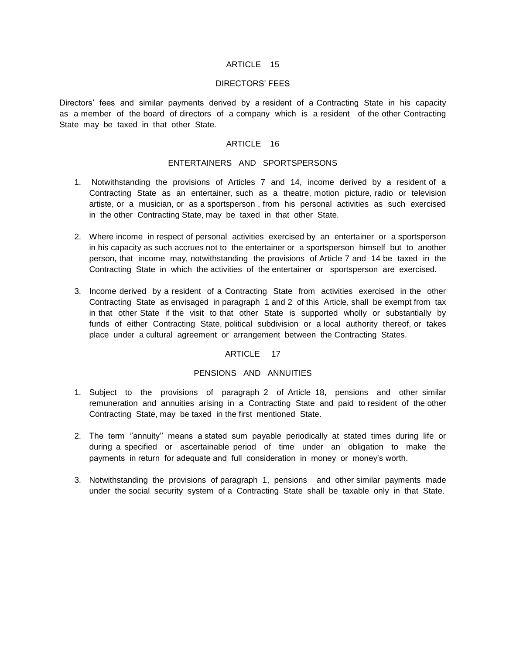#### DIRECTORS' FEES

Directors' fees and similar payments derived by a resident of a Contracting State in his capacity as a member of the board of directors of a company which is a resident of the other Contracting State may be taxed in that other State.

#### ARTICLE 16

## ENTERTAINERS AND SPORTSPERSONS

- 1. Notwithstanding the provisions of Articles 7 and 14, income derived by a resident of a Contracting State as an entertainer, such as a theatre, motion picture, radio or television artiste, or a musician, or as a sportsperson , from his personal activities as such exercised in the other Contracting State, may be taxed in that other State.
- 2. Where income in respect of personal activities exercised by an entertainer or a sportsperson in his capacity as such accrues not to the entertainer or a sportsperson himself but to another person, that income may, notwithstanding the provisions of Article 7 and 14 be taxed in the Contracting State in which the activities of the entertainer or sportsperson are exercised.
- 3. Income derived by a resident of a Contracting State from activities exercised in the other Contracting State as envisaged in paragraph 1 and 2 of this Article, shall be exempt from tax in that other State if the visit to that other State is supported wholly or substantially by funds of either Contracting State, political subdivision or a local authority thereof, or takes place under a cultural agreement or arrangement between the Contracting States.

#### ARTICLE 17

# PENSIONS AND ANNUITIES

- 1. Subject to the provisions of paragraph 2 of Article 18, pensions and other similar remuneration and annuities arising in a Contracting State and paid to resident of the other Contracting State, may be taxed in the first mentioned State.
- 2. The term ''annuity'' means a stated sum payable periodically at stated times during life or during a specified or ascertainable period of time under an obligation to make the payments in return for adequate and full consideration in money or money's worth.
- 3. Notwithstanding the provisions of paragraph 1, pensions and other similar payments made under the social security system of a Contracting State shall be taxable only in that State.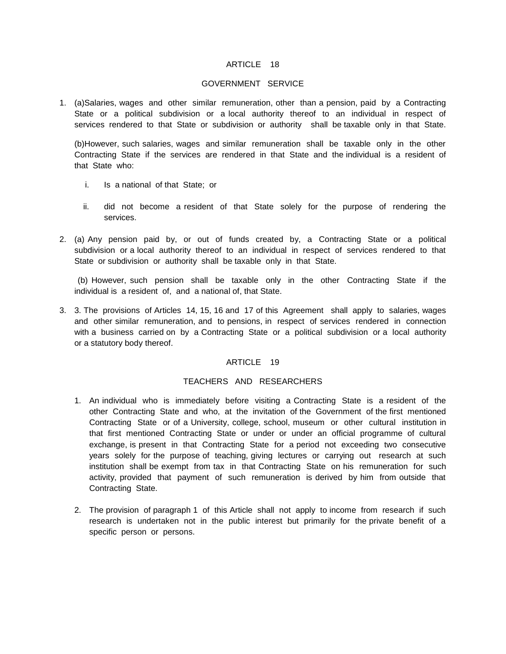## GOVERNMENT SERVICE

1. (a)Salaries, wages and other similar remuneration, other than a pension, paid by a Contracting State or a political subdivision or a local authority thereof to an individual in respect of services rendered to that State or subdivision or authority shall be taxable only in that State.

(b)However, such salaries, wages and similar remuneration shall be taxable only in the other Contracting State if the services are rendered in that State and the individual is a resident of that State who:

- i. Is a national of that State; or
- ii. did not become a resident of that State solely for the purpose of rendering the services.
- 2. (a) Any pension paid by, or out of funds created by, a Contracting State or a political subdivision or a local authority thereof to an individual in respect of services rendered to that State or subdivision or authority shall be taxable only in that State.

 (b) However, such pension shall be taxable only in the other Contracting State if the individual is a resident of, and a national of, that State.

3. 3. The provisions of Articles 14, 15, 16 and 17 of this Agreement shall apply to salaries, wages and other similar remuneration, and to pensions, in respect of services rendered in connection with a business carried on by a Contracting State or a political subdivision or a local authority or a statutory body thereof.

## ARTICLE 19

# TEACHERS AND RESEARCHERS

- 1. An individual who is immediately before visiting a Contracting State is a resident of the other Contracting State and who, at the invitation of the Government of the first mentioned Contracting State or of a University, college, school, museum or other cultural institution in that first mentioned Contracting State or under or under an official programme of cultural exchange, is present in that Contracting State for a period not exceeding two consecutive years solely for the purpose of teaching, giving lectures or carrying out research at such institution shall be exempt from tax in that Contracting State on his remuneration for such activity, provided that payment of such remuneration is derived by him from outside that Contracting State.
- 2. The provision of paragraph 1 of this Article shall not apply to income from research if such research is undertaken not in the public interest but primarily for the private benefit of a specific person or persons.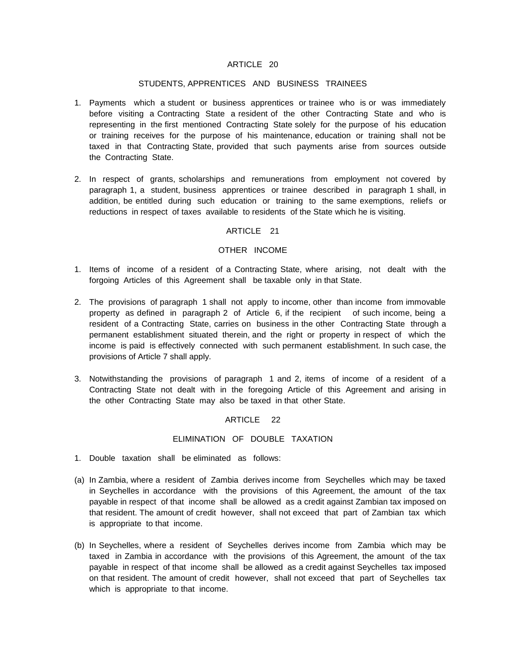## STUDENTS, APPRENTICES AND BUSINESS TRAINEES

- 1. Payments which a student or business apprentices or trainee who is or was immediately before visiting a Contracting State a resident of the other Contracting State and who is representing in the first mentioned Contracting State solely for the purpose of his education or training receives for the purpose of his maintenance, education or training shall not be taxed in that Contracting State, provided that such payments arise from sources outside the Contracting State.
- 2. In respect of grants, scholarships and remunerations from employment not covered by paragraph 1, a student, business apprentices or trainee described in paragraph 1 shall, in addition, be entitled during such education or training to the same exemptions, reliefs or reductions in respect of taxes available to residents of the State which he is visiting.

# ARTICLE 21

# OTHER INCOME

- 1. Items of income of a resident of a Contracting State, where arising, not dealt with the forgoing Articles of this Agreement shall be taxable only in that State.
- 2. The provisions of paragraph 1 shall not apply to income, other than income from immovable property as defined in paragraph 2 of Article 6, if the recipient of such income, being a resident of a Contracting State, carries on business in the other Contracting State through a permanent establishment situated therein, and the right or property in respect of which the income is paid is effectively connected with such permanent establishment. In such case, the provisions of Article 7 shall apply.
- 3. Notwithstanding the provisions of paragraph 1 and 2, items of income of a resident of a Contracting State not dealt with in the foregoing Article of this Agreement and arising in the other Contracting State may also be taxed in that other State.

# ARTICLE 22

## ELIMINATION OF DOUBLE TAXATION

- 1. Double taxation shall be eliminated as follows:
- (a) In Zambia, where a resident of Zambia derives income from Seychelles which may be taxed in Seychelles in accordance with the provisions of this Agreement, the amount of the tax payable in respect of that income shall be allowed as a credit against Zambian tax imposed on that resident. The amount of credit however, shall not exceed that part of Zambian tax which is appropriate to that income.
- (b) In Seychelles, where a resident of Seychelles derives income from Zambia which may be taxed in Zambia in accordance with the provisions of this Agreement, the amount of the tax payable in respect of that income shall be allowed as a credit against Seychelles tax imposed on that resident. The amount of credit however, shall not exceed that part of Seychelles tax which is appropriate to that income.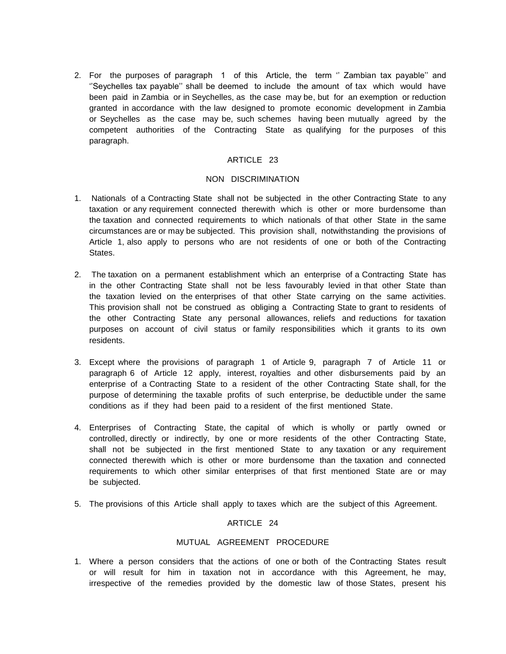2. For the purposes of paragraph 1 of this Article, the term '' Zambian tax payable'' and ''Seychelles tax payable'' shall be deemed to include the amount of tax which would have been paid in Zambia or in Seychelles, as the case may be, but for an exemption or reduction granted in accordance with the law designed to promote economic development in Zambia or Seychelles as the case may be, such schemes having been mutually agreed by the competent authorities of the Contracting State as qualifying for the purposes of this paragraph.

# ARTICLE 23

# NON DISCRIMINATION

- 1. Nationals of a Contracting State shall not be subjected in the other Contracting State to any taxation or any requirement connected therewith which is other or more burdensome than the taxation and connected requirements to which nationals of that other State in the same circumstances are or may be subjected. This provision shall, notwithstanding the provisions of Article 1, also apply to persons who are not residents of one or both of the Contracting States.
- 2. The taxation on a permanent establishment which an enterprise of a Contracting State has in the other Contracting State shall not be less favourably levied in that other State than the taxation levied on the enterprises of that other State carrying on the same activities. This provision shall not be construed as obliging a Contracting State to grant to residents of the other Contracting State any personal allowances, reliefs and reductions for taxation purposes on account of civil status or family responsibilities which it grants to its own residents.
- 3. Except where the provisions of paragraph 1 of Article 9, paragraph 7 of Article 11 or paragraph 6 of Article 12 apply, interest, royalties and other disbursements paid by an enterprise of a Contracting State to a resident of the other Contracting State shall, for the purpose of determining the taxable profits of such enterprise, be deductible under the same conditions as if they had been paid to a resident of the first mentioned State.
- 4. Enterprises of Contracting State, the capital of which is wholly or partly owned or controlled, directly or indirectly, by one or more residents of the other Contracting State, shall not be subjected in the first mentioned State to any taxation or any requirement connected therewith which is other or more burdensome than the taxation and connected requirements to which other similar enterprises of that first mentioned State are or may be subjected.
- 5. The provisions of this Article shall apply to taxes which are the subject of this Agreement.

## ARTICLE 24

# MUTUAL AGREEMENT PROCEDURE

1. Where a person considers that the actions of one or both of the Contracting States result or will result for him in taxation not in accordance with this Agreement, he may, irrespective of the remedies provided by the domestic law of those States, present his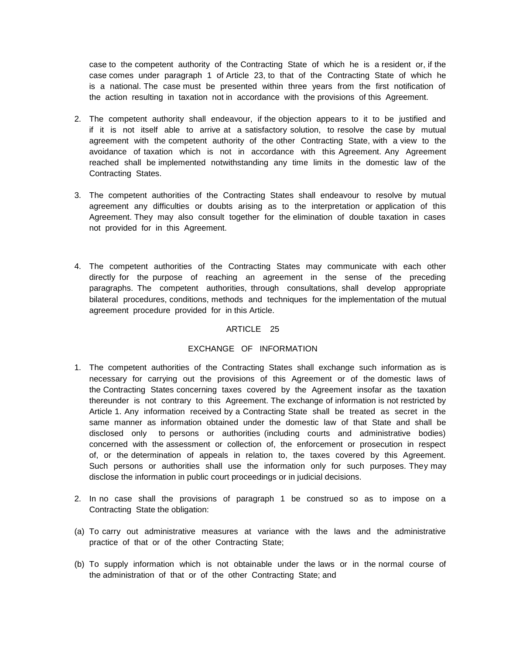case to the competent authority of the Contracting State of which he is a resident or, if the case comes under paragraph 1 of Article 23, to that of the Contracting State of which he is a national. The case must be presented within three years from the first notification of the action resulting in taxation not in accordance with the provisions of this Agreement.

- 2. The competent authority shall endeavour, if the objection appears to it to be justified and if it is not itself able to arrive at a satisfactory solution, to resolve the case by mutual agreement with the competent authority of the other Contracting State, with a view to the avoidance of taxation which is not in accordance with this Agreement. Any Agreement reached shall be implemented notwithstanding any time limits in the domestic law of the Contracting States.
- 3. The competent authorities of the Contracting States shall endeavour to resolve by mutual agreement any difficulties or doubts arising as to the interpretation or application of this Agreement. They may also consult together for the elimination of double taxation in cases not provided for in this Agreement.
- 4. The competent authorities of the Contracting States may communicate with each other directly for the purpose of reaching an agreement in the sense of the preceding paragraphs. The competent authorities, through consultations, shall develop appropriate bilateral procedures, conditions, methods and techniques for the implementation of the mutual agreement procedure provided for in this Article.

# ARTICLE 25

# EXCHANGE OF INFORMATION

- 1. The competent authorities of the Contracting States shall exchange such information as is necessary for carrying out the provisions of this Agreement or of the domestic laws of the Contracting States concerning taxes covered by the Agreement insofar as the taxation thereunder is not contrary to this Agreement. The exchange of information is not restricted by Article 1. Any information received by a Contracting State shall be treated as secret in the same manner as information obtained under the domestic law of that State and shall be disclosed only to persons or authorities (including courts and administrative bodies) concerned with the assessment or collection of, the enforcement or prosecution in respect of, or the determination of appeals in relation to, the taxes covered by this Agreement. Such persons or authorities shall use the information only for such purposes. They may disclose the information in public court proceedings or in judicial decisions.
- 2. In no case shall the provisions of paragraph 1 be construed so as to impose on a Contracting State the obligation:
- (a) To carry out administrative measures at variance with the laws and the administrative practice of that or of the other Contracting State;
- (b) To supply information which is not obtainable under the laws or in the normal course of the administration of that or of the other Contracting State; and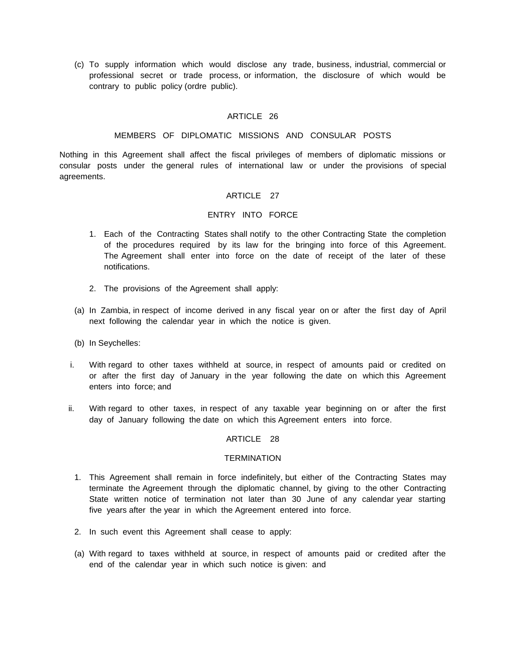(c) To supply information which would disclose any trade, business, industrial, commercial or professional secret or trade process, or information, the disclosure of which would be contrary to public policy (ordre public).

## ARTICLE 26

#### MEMBERS OF DIPLOMATIC MISSIONS AND CONSULAR POSTS

Nothing in this Agreement shall affect the fiscal privileges of members of diplomatic missions or consular posts under the general rules of international law or under the provisions of special agreements.

## ARTICLE 27

## ENTRY INTO FORCE

- 1. Each of the Contracting States shall notify to the other Contracting State the completion of the procedures required by its law for the bringing into force of this Agreement. The Agreement shall enter into force on the date of receipt of the later of these notifications.
- 2. The provisions of the Agreement shall apply:
- (a) In Zambia, in respect of income derived in any fiscal year on or after the first day of April next following the calendar year in which the notice is given.
- (b) In Seychelles:
- i. With regard to other taxes withheld at source, in respect of amounts paid or credited on or after the first day of January in the year following the date on which this Agreement enters into force; and
- ii. With regard to other taxes, in respect of any taxable year beginning on or after the first day of January following the date on which this Agreement enters into force.

#### ARTICLE 28

#### **TERMINATION**

- 1. This Agreement shall remain in force indefinitely, but either of the Contracting States may terminate the Agreement through the diplomatic channel, by giving to the other Contracting State written notice of termination not later than 30 June of any calendar year starting five years after the year in which the Agreement entered into force.
- 2. In such event this Agreement shall cease to apply:
- (a) With regard to taxes withheld at source, in respect of amounts paid or credited after the end of the calendar year in which such notice is given: and